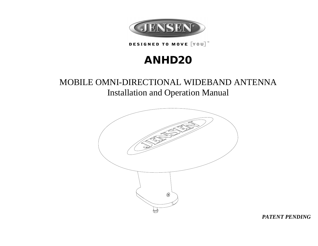

**DESIGNED TO MOVE VOU** 

# **ANHD20**

# MOBILE OMNI-DIRECTIONAL WIDEBAND ANTENNA Installation and Operation Manual



*PATENT PENDING*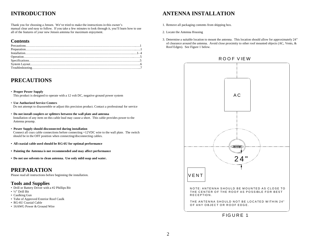# **INTRODUCTION**

Thank you for choosing a Jensen. We've tried to make the instructions in this owner's manual clear and easy to follow. If you take a few minutes to look through it, you'll learn how to use all of the features of your new Jensen antenna for maximum enjoyment.

#### **Contents**

| $Specifications. \dots 5$ |  |
|---------------------------|--|
|                           |  |
|                           |  |

## **PRECAUTIONS**

#### • **Proper Power Supply**

This product is designed to operate with a 12 volt DC, negative ground power system

- **Use Authorized Service Centers** Do not attempt to disassemble or adjust this precision product. Contact a professional for service
- **Do not install couplers or splitters between the wall plate and antenna** Installation of any item on this cable lead may cause a short. This cable provides power to the Antenna preamp.
- **Power Supply should disconnected during installation** Connect all coax cable connections before connecting +12VDC wire to the wall plate. The switch should be in the OFF position when connecting/disconnecting cables.
- **All coaxial cable used should be RG-6U for optimal performance**
- **Painting the Antenna is not recommended and may affect performance**
- **Do not use solvents to clean antenna. Use only mild soap and water.**

#### **PREPARATION**

Please read all instructions before beginning the installation.

#### **Tools and Supplies**

- Drill or Battery Driver with a #2 Phillips Bit
- ½" Drill Bit
- Caulking Gun
- Tube of Approved Exterior Roof Caulk
- RG-6U Coaxial Cable
- 16AWG Power & Ground Wire

#### **ANTENNA INSTALLATION**

- 1. Remove all packaging contents from shipping box.
- 2. Locate the Antenna Housing
- 3. Determine a suitable location to mount the antenna. This location should allow for approximately 24" of clearance around the antenna. Avoid close proximity to other roof mounted objects (AC, Vents, & Roof Edges). See Figure 1 below.



#### **FIGURE 1**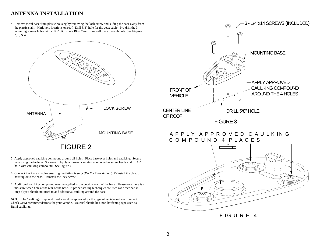## **ANTENNA INSTALLATION**

4. Remove metal base from plastic housing by removing the lock screw and sliding the base away from the plastic stalk. Mark hole locations on roof. Drill 5/8" hole for the coax cable. Pre-drill the 3 mounting screws holes with a 1/8" bit. Route RG6 Coax from wall plate through hole. See Figures 2, 3, & 4.



- 5. Apply approved caulking compound around all holes. Place base over holes and caulking. Secure base using the included 3 screws. Apply approved caulking compound to screw heads and fill 1/2" hole with caulking compound. See Figure 4
- 6. Connect the 2 coax cables ensuring the fitting is snug (*Do Not Over tighten*). Reinstall the plastic housing onto the base. Reinstall the lock screw.
- 7. Additional caulking compound may be applied to the outside seam of the base. Please note there is a moisture weep hole at the rear of the base. If proper sealing techniques are used (as described in Step 5) you should not need to add additional caulking around the base.

NOTE: The Caulking compound used should be approved for the type of vehicle and environment. Check OEM recommendations for your vehicle. Material should be a non-hardening type such as Butyl caulking.





 $FIGURE 4$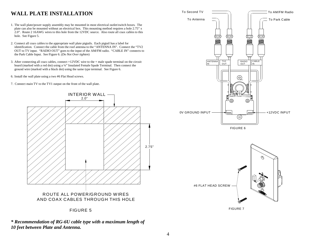# **WALL PLATE INSTALLATION**

- 1. The wall plate/power supply assembly may be mounted in most electrical outlet/switch boxes. The plate can also be mounted without an electrical box. This mounting method requires a hole 2.75" x 2.0". Route 2 16AWG wires to this hole from the 12VDC source. Also route all coax cables to this hole. See Figure 5.
- 2. Connect all coax cables to the appropriate wall plate pigtails. Each pigtail has a label for identification. Connect the cable from the roof antenna to the "ANTENNA IN". Connect the "TV2 OUT to TV input. "RADIO OUT" goes to the input of the AM/FM radio. "CABLE IN" connects to the Park Cable Input. See Figure 6. (*Do Not Over tighten*)
- 3. After connecting all coax cables, connect +12VDC wire to the + male spade terminal on the circuit board (marked with a red dot) using a ¼" Insulated Female Spade Terminal. Then connect the ground wire (marked with a black dot) using the same type terminal. See Figure 6.
- 6. Install the wall plate using a two #6 Flat Head screws.
- 7. Connect main TV to the TV1 output on the front of the wall plate.











FIGURE 7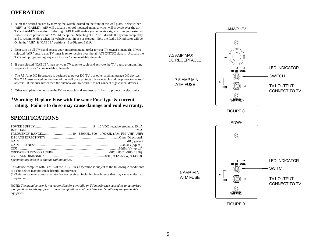## **OPERATION**

- 1. Select the desired source by moving the switch located on the front of the wall plate. Select either "AIR" or "CABLE". AIR will activate the roof mounted antenna which will provide over-the-air TV and AM/FM reception. Selecting CABLE will enable you to receive signals from your external Cable Service provider and AM/FM reception. Selecting "OFF" will disable the system completely and is recommending when the vehicle is not in use or storage. Note the Red LED indicator will be On in the "AIR" & "CABLE" positions. See Figures 8 & 9.
- 2. Next turn on all TV's and access your on screen menu. (refer to your TV owner's manual). If you selected "AIR" ensure that TV tuner is set to receive over-the-air ATSC/NTSC signals. Activate the TV's auto programming sequence to scan / store available channels.
- 3. If you selected "CABLE", then set your TV tuner to cable and activate the TV's auto programming sequence to scan / store available channels.
- 4. The 7.5 Amp DC Receptacle is designed to power DC TV's or other small amperage DC devices. The 7.5A fuse located on the front of the wall plate protects this receptacle and the power to the roof antenna. If this fuse blows then the antenna will not work. Do not connect high current devices.
- 5. Other wall plates do not have the DC receptacle and are fused at 1 Amp to protect the electronics.

#### **\*Warning: Replace Fuse with the same Fuse type & current rating. Failure to do so may cause damage and void warranty.**

#### **SPECIFICATIONS**

| Specifications subject to change without notice. |  |
|--------------------------------------------------|--|

This device complies with Part 15 of the FCC Rules. Operation is subject to the following 2 conditions: (1) This device may not cause harmful interference.

(2) This device must accept any interference received, including interference that may cause undesired operation.

*NOTE: The manufacturer is not responsible for any radio or TV interference caused by unauthorized modifications to this equipment. Such modifications could void the user's authority to operate this equipment.*

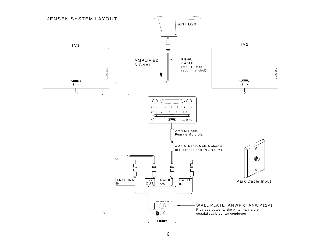